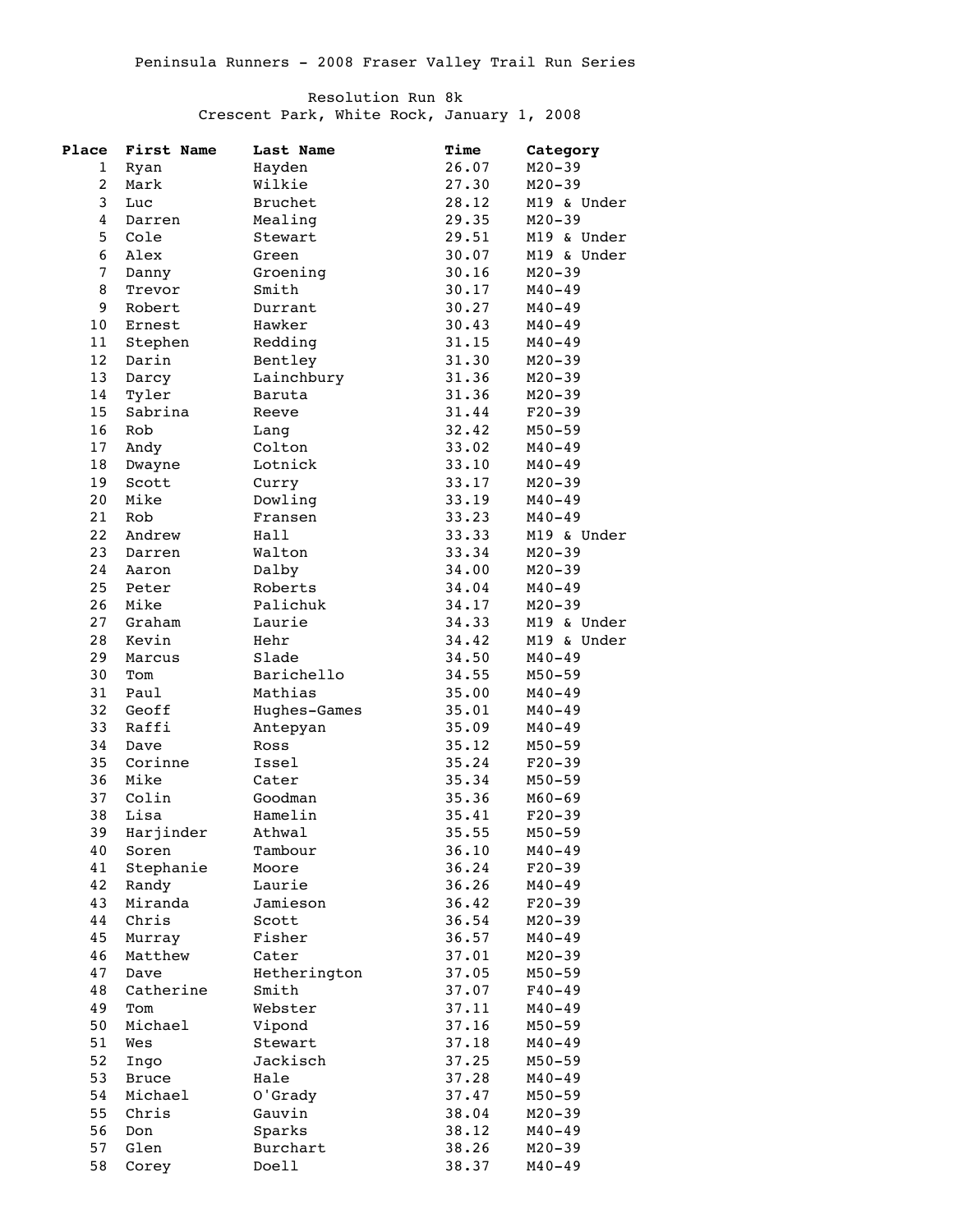## Resolution Run 8k

Crescent Park, White Rock, January 1, 2008

| Place                   | First Name     | Last Name      | Time  | Category    |
|-------------------------|----------------|----------------|-------|-------------|
| 1                       | Ryan           | Hayden         | 26.07 | $M20 - 39$  |
| $\overline{\mathbf{c}}$ | Mark           | Wilkie         | 27.30 | $M20 - 39$  |
| 3                       | Luc            | <b>Bruchet</b> | 28.12 | M19 & Under |
| 4                       | Darren         | Mealing        | 29.35 | $M20 - 39$  |
| 5                       | Cole           | Stewart        | 29.51 | M19 & Under |
| 6                       | Alex           | Green          | 30.07 | M19 & Under |
| 7                       | Danny          | Groening       | 30.16 | $M20 - 39$  |
| 8                       | Trevor         | Smith          | 30.17 | $M40 - 49$  |
| 9                       | Robert         | Durrant        | 30.27 | $M40 - 49$  |
| 10                      | Ernest         | Hawker         | 30.43 | $M40 - 49$  |
| 11                      | Stephen        | Redding        | 31.15 | $M40 - 49$  |
| 12                      | Darin          | Bentley        | 31.30 | $M20 - 39$  |
| 13                      |                |                | 31.36 |             |
|                         | Darcy          | Lainchbury     |       | $M20 - 39$  |
| $1\,4$                  | Tyler          | Baruta         | 31.36 | $M20 - 39$  |
| 15                      | Sabrina        | Reeve          | 31.44 | $F20-39$    |
| 16                      | Rob            | Lang           | 32.42 | $M50 - 59$  |
| 17                      | Andy           | Colton         | 33.02 | $M40 - 49$  |
| 18                      | Dwayne         | Lotnick        | 33.10 | $M40 - 49$  |
| 19                      | Scott          | Curry          | 33.17 | $M20 - 39$  |
| 20                      | Mike           | Dowling        | 33.19 | $M40 - 49$  |
| 21                      | Rob            | Fransen        | 33.23 | $M40 - 49$  |
| 22                      | Andrew         | Hall           | 33.33 | M19 & Under |
| 23                      | Darren         | Walton         | 33.34 | $M20 - 39$  |
| 24                      | Aaron          | Dalby          | 34.00 | $M20 - 39$  |
| 25                      | Peter          | Roberts        | 34.04 | $M40 - 49$  |
| 26                      | Mike           | Palichuk       | 34.17 | $M20 - 39$  |
| 27                      | Graham         | Laurie         | 34.33 | M19 & Under |
| 28                      | Kevin          | Hehr           | 34.42 | M19 & Under |
| 29                      | Marcus         | Slade          | 34.50 | $M40 - 49$  |
| 30                      | Tom            | Barichello     | 34.55 | $M50 - 59$  |
| 31                      | Paul           | Mathias        | 35.00 | $M40 - 49$  |
| 32                      | Geoff          | Hughes-Games   | 35.01 | $M40 - 49$  |
| 33                      | Raffi          | Antepyan       | 35.09 | $M40 - 49$  |
| 34                      | Dave           | Ross           | 35.12 | $M50 - 59$  |
| 35                      | Corinne        | Issel          | 35.24 | $F20-39$    |
| 36                      | Mike           | Cater          | 35.34 | $M50 - 59$  |
| 37                      | Colin          | Goodman        | 35.36 | $M60 - 69$  |
| 38                      | Lisa           | Hamelin        | 35.41 | $F20-39$    |
| 39                      | Harjinder      | Athwal         | 35.55 | $M50 - 59$  |
| 40                      | Soren          | Tambour        | 36.10 | $M40 - 49$  |
| 41                      | Stephanie      | Moore          | 36.24 | $F20-39$    |
| 42                      | Randy          | Laurie         | 36.26 | $M40 - 49$  |
| 43                      | Miranda        | Jamieson       | 36.42 | $F20-39$    |
| 44                      | Chris          | Scott          | 36.54 |             |
|                         |                |                |       | $M20 - 39$  |
| 45                      | Murray         | Fisher         | 36.57 | $M40 - 49$  |
| 46                      | Matthew        | Cater          | 37.01 | $M20 - 39$  |
| 47                      | Dave           | Hetherington   | 37.05 | $M50 - 59$  |
| 48                      | Catherine      | Smith          | 37.07 | $F40 - 49$  |
| 49                      | $\texttt{Tom}$ | Webster        | 37.11 | $M40 - 49$  |
| 50                      | Michael        | Vipond         | 37.16 | $M50 - 59$  |
| 51                      | Wes            | Stewart        | 37.18 | $M40 - 49$  |
| 52                      | Ingo           | Jackisch       | 37.25 | $M50 - 59$  |
| 53                      | <b>Bruce</b>   | Hale           | 37.28 | $M40 - 49$  |
| 54                      | Michael        | O'Grady        | 37.47 | $M50 - 59$  |
| 55                      | Chris          | Gauvin         | 38.04 | $M20 - 39$  |
| 56                      | Don            | Sparks         | 38.12 | $M40 - 49$  |
| 57                      | Glen           | Burchart       | 38.26 | $M20 - 39$  |
| 58                      | Corey          | Doell          | 38.37 | $M40 - 49$  |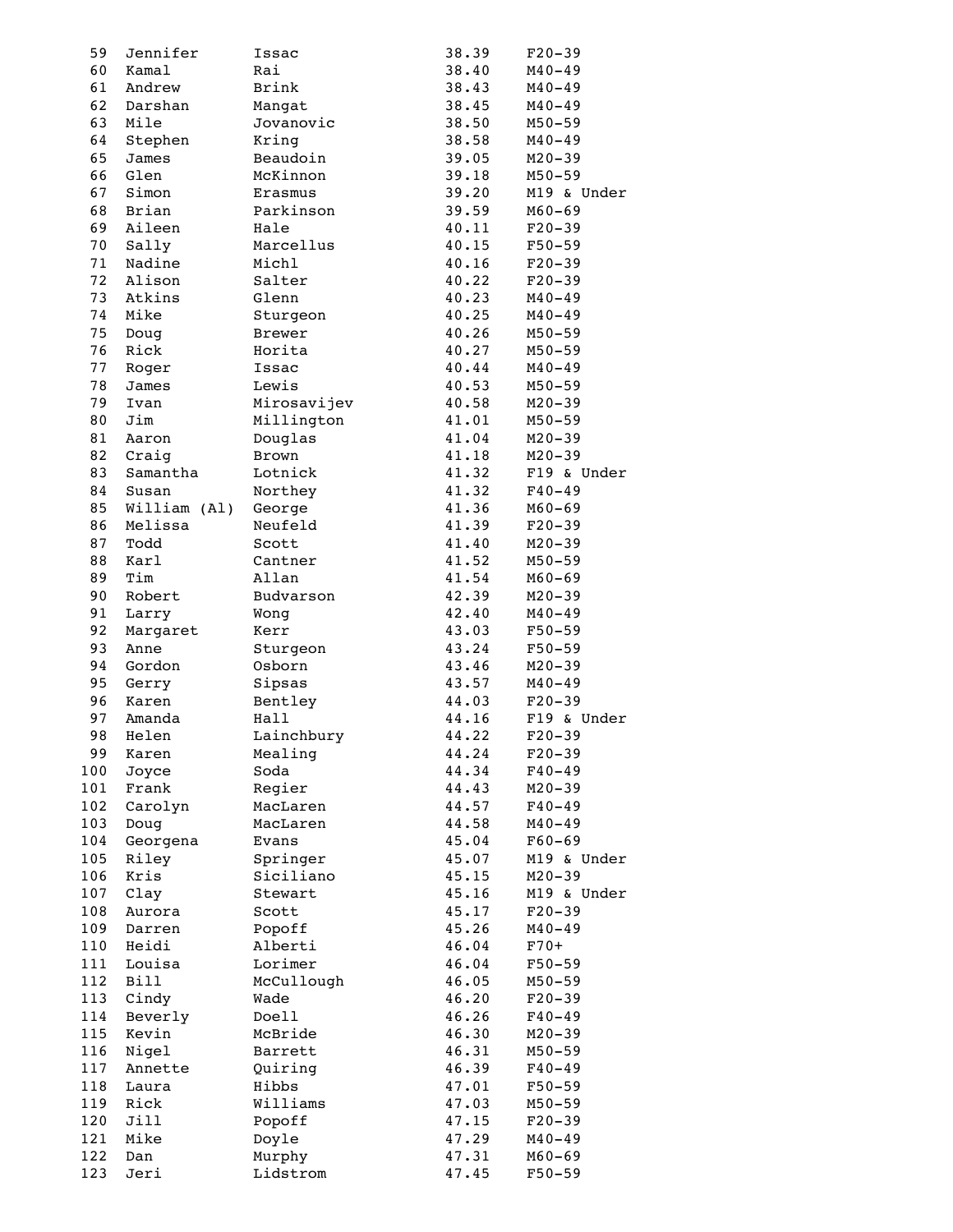| 59       | Jennifer         | Issac              | 38.39          | $F20-39$                 |
|----------|------------------|--------------------|----------------|--------------------------|
| 60       | Kamal            | Rai                | 38.40          | $M40 - 49$               |
| 61       | Andrew           | Brink              | 38.43          | $M40 - 49$               |
| 62       | Darshan          | Mangat             | 38.45          | $M40 - 49$               |
| 63       | Mile             | Jovanovic          | 38.50          | $M50 - 59$               |
| 64       | Stephen          | Kring              | 38.58          | $M40 - 49$               |
| 65       | James            | Beaudoin           | 39.05          | $M20 - 39$               |
| 66       | Glen             | McKinnon           | 39.18          | $M50 - 59$               |
| 67       | Simon            | Erasmus            | 39.20          | M19 & Under              |
| 68       | Brian            | Parkinson          | 39.59          | $M60 - 69$               |
| 69       | Aileen           | Hale               | 40.11          | $F20-39$                 |
| 70       | Sally            | Marcellus          | 40.15          | $F50 - 59$               |
| 71       | Nadine           | Michl              | 40.16          | $F20-39$                 |
| 72       | Alison           | Salter             | 40.22          | $F20-39$                 |
| 73       | Atkins           | Glenn              | 40.23          | $M40 - 49$               |
| 74       | Mike             | Sturgeon           | 40.25          | $M40 - 49$               |
| 75       | Doug             | <b>Brewer</b>      | 40.26          | $M50 - 59$               |
| 76       | Rick             | Horita             | 40.27          | $M50 - 59$               |
| 77       | Roger            | Issac              | 40.44          | $M40 - 49$               |
| 78       | James            | Lewis              | 40.53          | $M50 - 59$               |
| 79       | Ivan             | Mirosavijev        | 40.58          | $M20 - 39$               |
| 80       | Jim              | Millington         | 41.01          | $M50 - 59$               |
| 81       | Aaron            | Douglas            | 41.04          | $M20 - 39$               |
| 82       | Craig            | Brown              | 41.18          | $M20 - 39$               |
| 83       | Samantha         | Lotnick            | 41.32          | F19 & Under              |
| 84       | Susan            | Northey            | 41.32          | $F40 - 49$               |
| 85       | William (Al)     | George             | 41.36          | $M60 - 69$               |
| 86       | Melissa          | Neufeld            | 41.39          | $F20-39$                 |
| 87       | Todd             | Scott              | 41.40          | $M20 - 39$               |
| 88       | Karl             | Cantner            | 41.52          | $M50 - 59$               |
| 89       | Tim              | Allan              | 41.54          | $M60 - 69$               |
| 90       | Robert           | Budvarson          | 42.39          | $M20 - 39$               |
| 91<br>92 | Larry            | Wong               | 42.40<br>43.03 | $M40 - 49$               |
| 93       | Margaret<br>Anne | Kerr               | 43.24          | $F50 - 59$<br>$F50 - 59$ |
| 94       | Gordon           | Sturgeon<br>Osborn | 43.46          | $M20 - 39$               |
| 95       | Gerry            | Sipsas             | 43.57          | $M40 - 49$               |
| 96       | Karen            | Bentley            | 44.03          | $F20-39$                 |
| 97       | Amanda           | Hall               | 44.16          | F19 & Under              |
| 98       | Helen            | Lainchbury         | 44.22          | $F20-39$                 |
| 99       | Karen            | Mealing            | 44.24          | $F20-39$                 |
| 100      | Joyce            | Soda               | 44.34          | $F40 - 49$               |
| 101      | Frank            | Regier             | 44.43          | $M20 - 39$               |
| 102      | Carolyn          | MacLaren           | 44.57          | $F40 - 49$               |
| 103      | Doug             | MacLaren           | 44.58          | $M40 - 49$               |
| 104      | Georgena         | Evans              | 45.04          | $F60 - 69$               |
| 105      | Riley            | Springer           | 45.07          | M19 & Under              |
| 106      | Kris             | Siciliano          | 45.15          | $M20 - 39$               |
| 107      | Clay             | Stewart            | 45.16          | M19 & Under              |
| 108      | Aurora           | Scott              | 45.17          | $F20-39$                 |
| 109      | Darren           | Popoff             | 45.26          | $M40 - 49$               |
| 110      | Heidi            | Alberti            | 46.04          | $F70+$                   |
| 111      | Louisa           | Lorimer            | 46.04          | $F50 - 59$               |
| 112      | <b>Bill</b>      | McCullough         | 46.05          | $M50 - 59$               |
| 113      | Cindy            | Wade               | 46.20          | $F20-39$                 |
| 114      | Beverly          | Doell              | 46.26          | $F40 - 49$               |
| 115      | Kevin            | McBride            | 46.30          | $M20 - 39$               |
| 116      | Nigel            | Barrett            | 46.31          | $M50 - 59$               |
| 117      | Annette          | Quiring            | 46.39          | $F40 - 49$               |
| 118      | Laura            | Hibbs              | 47.01          | $F50 - 59$               |
| 119      | Rick             | Williams           | 47.03          | $M50 - 59$               |
| 120      | Jill             | Popoff             | 47.15          | $F20-39$                 |
| 121      | Mike             | Doyle              | 47.29          | $M40 - 49$               |
| 122      | Dan              | Murphy             | 47.31          | $M60 - 69$               |
| 123      | Jeri             | Lidstrom           | 47.45          | $F50 - 59$               |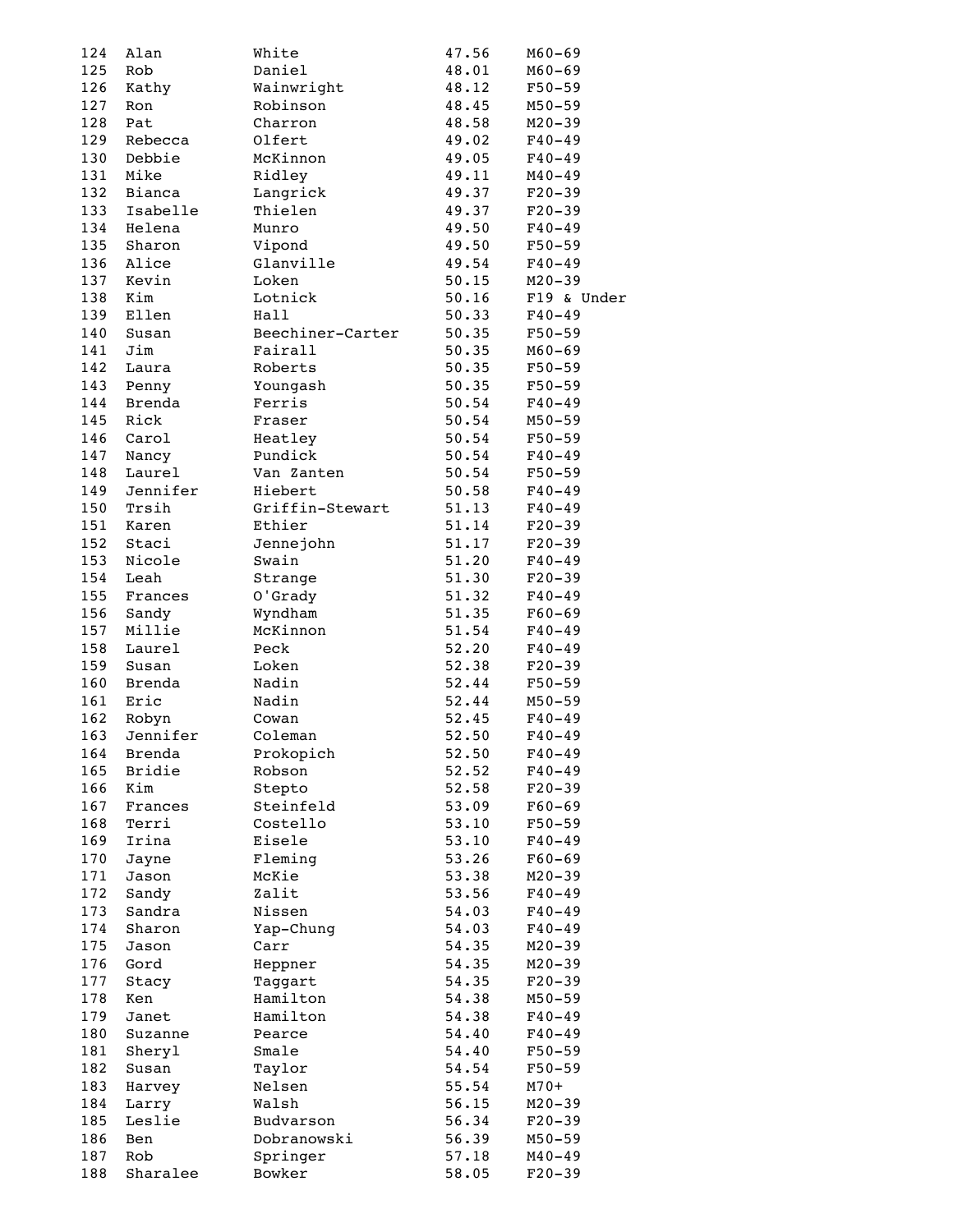| 124 | Alan     | White            | 47.56 | $M60 - 69$  |
|-----|----------|------------------|-------|-------------|
| 125 | Rob      | Daniel           | 48.01 | $M60 - 69$  |
| 126 | Kathy    | Wainwright       | 48.12 | $F50 - 59$  |
| 127 | Ron      | Robinson         | 48.45 | $M50 - 59$  |
| 128 | Pat      | Charron          | 48.58 | $M20 - 39$  |
| 129 | Rebecca  | Olfert           | 49.02 | $F40 - 49$  |
| 130 | Debbie   | McKinnon         | 49.05 | $F40 - 49$  |
| 131 | Mike     | Ridley           | 49.11 | $M40 - 49$  |
| 132 | Bianca   | Langrick         | 49.37 | $F20-39$    |
| 133 | Isabelle | Thielen          | 49.37 | $F20-39$    |
| 134 | Helena   | Munro            | 49.50 | $F40 - 49$  |
| 135 | Sharon   | Vipond           | 49.50 | $F50 - 59$  |
| 136 | Alice    | Glanville        | 49.54 | $F40 - 49$  |
| 137 | Kevin    | Loken            | 50.15 | $M20 - 39$  |
| 138 | Kim      | Lotnick          | 50.16 | F19 & Under |
| 139 | Ellen    | Hall             | 50.33 | $F40 - 49$  |
| 140 | Susan    | Beechiner-Carter | 50.35 | $F50 - 59$  |
| 141 | Jim      | Fairall          | 50.35 | $M60 - 69$  |
| 142 | Laura    | Roberts          | 50.35 | $F50 - 59$  |
| 143 | Penny    | Youngash         | 50.35 | $F50 - 59$  |
| 144 | Brenda   | Ferris           |       |             |
|     |          |                  | 50.54 | $F40 - 49$  |
| 145 | Rick     | Fraser           | 50.54 | $M50 - 59$  |
| 146 | Carol    | Heatley          | 50.54 | $F50 - 59$  |
| 147 | Nancy    | Pundick          | 50.54 | $F40 - 49$  |
| 148 | Laurel   | Van Zanten       | 50.54 | $F50 - 59$  |
| 149 | Jennifer | Hiebert          | 50.58 | $F40 - 49$  |
| 150 | Trsih    | Griffin-Stewart  | 51.13 | $F40 - 49$  |
| 151 | Karen    | Ethier           | 51.14 | $F20-39$    |
| 152 | Staci    | Jennejohn        | 51.17 | $F20-39$    |
| 153 | Nicole   | Swain            | 51.20 | $F40 - 49$  |
| 154 | Leah     | Strange          | 51.30 | $F20-39$    |
| 155 | Frances  | O'Grady          | 51.32 | $F40 - 49$  |
| 156 | Sandy    | Wyndham          | 51.35 | $F60 - 69$  |
| 157 | Millie   | McKinnon         | 51.54 | $F40 - 49$  |
| 158 | Laurel   | Peck             | 52.20 | $F40 - 49$  |
| 159 | Susan    | Loken            | 52.38 | $F20-39$    |
| 160 | Brenda   | Nadin            | 52.44 | $F50 - 59$  |
| 161 | Eric     | Nadin            | 52.44 | $M50 - 59$  |
| 162 | Robyn    | Cowan            | 52.45 | $F40 - 49$  |
| 163 | Jennifer | Coleman          | 52.50 | $F40 - 49$  |
| 164 | Brenda   | Prokopich        | 52.50 | $F40 - 49$  |
| 165 | Bridie   | Robson           | 52.52 | $F40 - 49$  |
| 166 | Kim      | Stepto           | 52.58 | $F20-39$    |
| 167 | Frances  | Steinfeld        | 53.09 | $F60 - 69$  |
| 168 | Terri    | Costello         | 53.10 | $F50 - 59$  |
| 169 | Irina    | Eisele           | 53.10 | $F40 - 49$  |
| 170 | Jayne    | Fleming          | 53.26 | $F60 - 69$  |
| 171 | Jason    | McKie            | 53.38 | $M20 - 39$  |
| 172 | Sandy    | Zalit            | 53.56 | $F40 - 49$  |
| 173 | Sandra   | Nissen           | 54.03 | $F40 - 49$  |
| 174 | Sharon   | Yap-Chung        | 54.03 | $F40 - 49$  |
| 175 | Jason    | Carr             | 54.35 | $M20 - 39$  |
| 176 | Gord     | Heppner          | 54.35 | $M20 - 39$  |
| 177 | Stacy    | Taggart          | 54.35 | $F20-39$    |
| 178 | Ken      | Hamilton         | 54.38 | $M50 - 59$  |
| 179 | Janet    | Hamilton         | 54.38 | $F40 - 49$  |
| 180 | Suzanne  | Pearce           | 54.40 | $F40 - 49$  |
| 181 | Sheryl   | Smale            | 54.40 | $F50 - 59$  |
| 182 | Susan    | Taylor           | 54.54 | $F50 - 59$  |
| 183 | Harvey   | Nelsen           | 55.54 | $M70+$      |
| 184 | Larry    | Walsh            | 56.15 | $M20 - 39$  |
| 185 | Leslie   | Budvarson        | 56.34 | $F20-39$    |
| 186 | Ben      | Dobranowski      | 56.39 | $M50 - 59$  |
| 187 | Rob      | Springer         | 57.18 | $M40 - 49$  |
| 188 | Sharalee | Bowker           | 58.05 | $F20-39$    |
|     |          |                  |       |             |